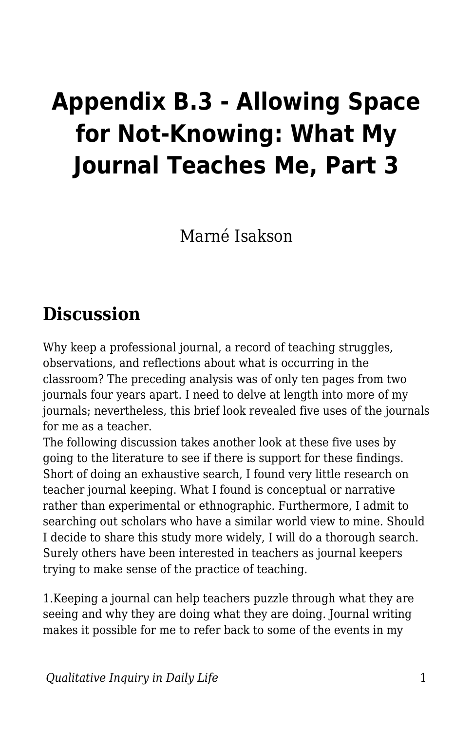## **Appendix B.3 - Allowing Space for Not-Knowing: What My Journal Teaches Me, Part 3**

Marné Isakson

## **Discussion**

Why keep a professional journal, a record of teaching struggles, observations, and reflections about what is occurring in the classroom? The preceding analysis was of only ten pages from two journals four years apart. I need to delve at length into more of my journals; nevertheless, this brief look revealed five uses of the journals for me as a teacher.

The following discussion takes another look at these five uses by going to the literature to see if there is support for these findings. Short of doing an exhaustive search, I found very little research on teacher journal keeping. What I found is conceptual or narrative rather than experimental or ethnographic. Furthermore, I admit to searching out scholars who have a similar world view to mine. Should I decide to share this study more widely, I will do a thorough search. Surely others have been interested in teachers as journal keepers trying to make sense of the practice of teaching.

1.Keeping a journal can help teachers puzzle through what they are seeing and why they are doing what they are doing. Journal writing makes it possible for me to refer back to some of the events in my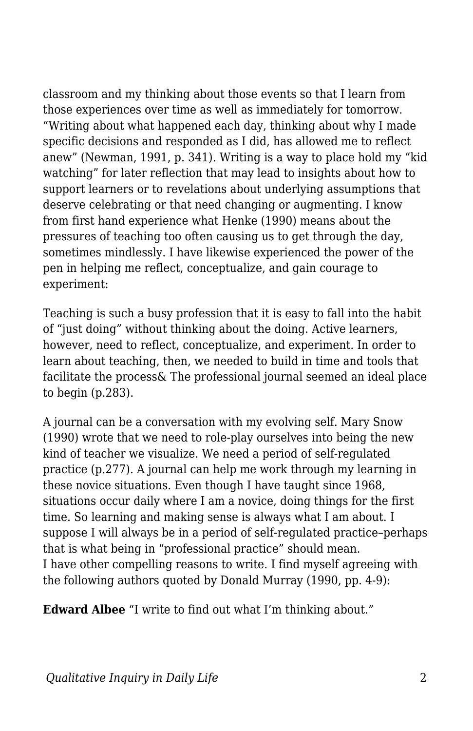classroom and my thinking about those events so that I learn from those experiences over time as well as immediately for tomorrow. "Writing about what happened each day, thinking about why I made specific decisions and responded as I did, has allowed me to reflect anew" (Newman, 1991, p. 341). Writing is a way to place hold my "kid watching" for later reflection that may lead to insights about how to support learners or to revelations about underlying assumptions that deserve celebrating or that need changing or augmenting. I know from first hand experience what Henke (1990) means about the pressures of teaching too often causing us to get through the day, sometimes mindlessly. I have likewise experienced the power of the pen in helping me reflect, conceptualize, and gain courage to experiment:

Teaching is such a busy profession that it is easy to fall into the habit of "just doing" without thinking about the doing. Active learners, however, need to reflect, conceptualize, and experiment. In order to learn about teaching, then, we needed to build in time and tools that facilitate the process& The professional journal seemed an ideal place to begin (p.283).

A journal can be a conversation with my evolving self. Mary Snow (1990) wrote that we need to role-play ourselves into being the new kind of teacher we visualize. We need a period of self-regulated practice (p.277). A journal can help me work through my learning in these novice situations. Even though I have taught since 1968, situations occur daily where I am a novice, doing things for the first time. So learning and making sense is always what I am about. I suppose I will always be in a period of self-regulated practice–perhaps that is what being in "professional practice" should mean. I have other compelling reasons to write. I find myself agreeing with the following authors quoted by Donald Murray (1990, pp. 4-9):

**Edward Albee** "I write to find out what I'm thinking about."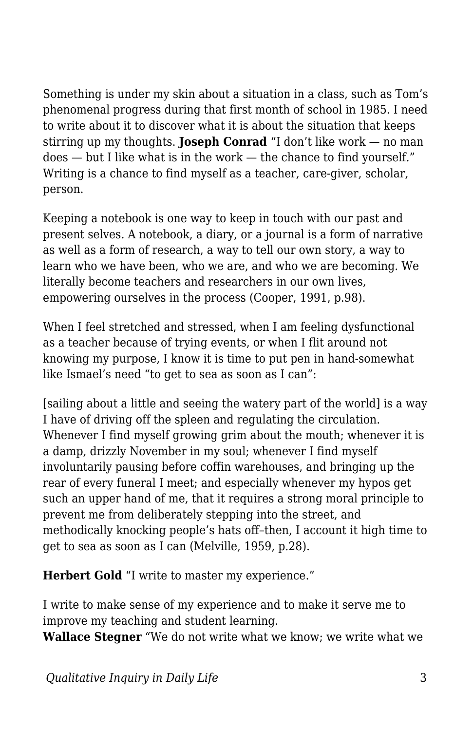Something is under my skin about a situation in a class, such as Tom's phenomenal progress during that first month of school in 1985. I need to write about it to discover what it is about the situation that keeps stirring up my thoughts. **Joseph Conrad** "I don't like work — no man does — but I like what is in the work — the chance to find yourself." Writing is a chance to find myself as a teacher, care-giver, scholar, person.

Keeping a notebook is one way to keep in touch with our past and present selves. A notebook, a diary, or a journal is a form of narrative as well as a form of research, a way to tell our own story, a way to learn who we have been, who we are, and who we are becoming. We literally become teachers and researchers in our own lives, empowering ourselves in the process (Cooper, 1991, p.98).

When I feel stretched and stressed, when I am feeling dysfunctional as a teacher because of trying events, or when I flit around not knowing my purpose, I know it is time to put pen in hand-somewhat like Ismael's need "to get to sea as soon as I can":

[sailing about a little and seeing the watery part of the world] is a way I have of driving off the spleen and regulating the circulation. Whenever I find myself growing grim about the mouth; whenever it is a damp, drizzly November in my soul; whenever I find myself involuntarily pausing before coffin warehouses, and bringing up the rear of every funeral I meet; and especially whenever my hypos get such an upper hand of me, that it requires a strong moral principle to prevent me from deliberately stepping into the street, and methodically knocking people's hats off–then, I account it high time to get to sea as soon as I can (Melville, 1959, p.28).

**Herbert Gold** "I write to master my experience."

I write to make sense of my experience and to make it serve me to improve my teaching and student learning.

**Wallace Stegner** "We do not write what we know; we write what we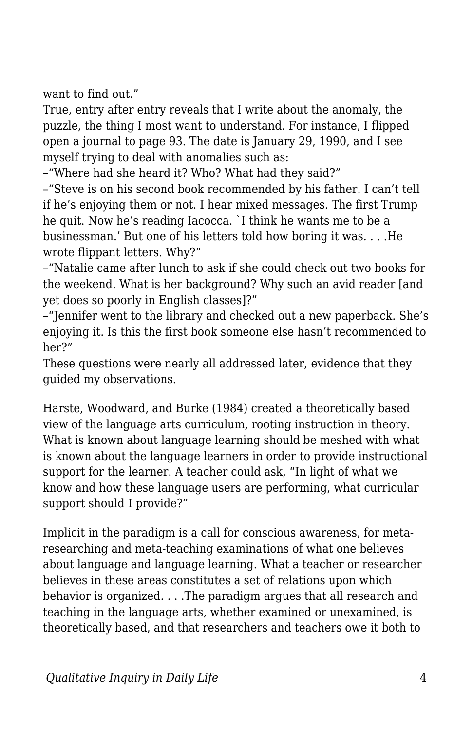want to find out."

True, entry after entry reveals that I write about the anomaly, the puzzle, the thing I most want to understand. For instance, I flipped open a journal to page 93. The date is January 29, 1990, and I see myself trying to deal with anomalies such as:

–"Where had she heard it? Who? What had they said?"

–"Steve is on his second book recommended by his father. I can't tell if he's enjoying them or not. I hear mixed messages. The first Trump he quit. Now he's reading Iacocca. `I think he wants me to be a businessman.' But one of his letters told how boring it was. . . .He wrote flippant letters. Why?"

–"Natalie came after lunch to ask if she could check out two books for the weekend. What is her background? Why such an avid reader [and yet does so poorly in English classes]?"

–"Jennifer went to the library and checked out a new paperback. She's enjoying it. Is this the first book someone else hasn't recommended to her?"

These questions were nearly all addressed later, evidence that they guided my observations.

Harste, Woodward, and Burke (1984) created a theoretically based view of the language arts curriculum, rooting instruction in theory. What is known about language learning should be meshed with what is known about the language learners in order to provide instructional support for the learner. A teacher could ask, "In light of what we know and how these language users are performing, what curricular support should I provide?"

Implicit in the paradigm is a call for conscious awareness, for metaresearching and meta-teaching examinations of what one believes about language and language learning. What a teacher or researcher believes in these areas constitutes a set of relations upon which behavior is organized. . . .The paradigm argues that all research and teaching in the language arts, whether examined or unexamined, is theoretically based, and that researchers and teachers owe it both to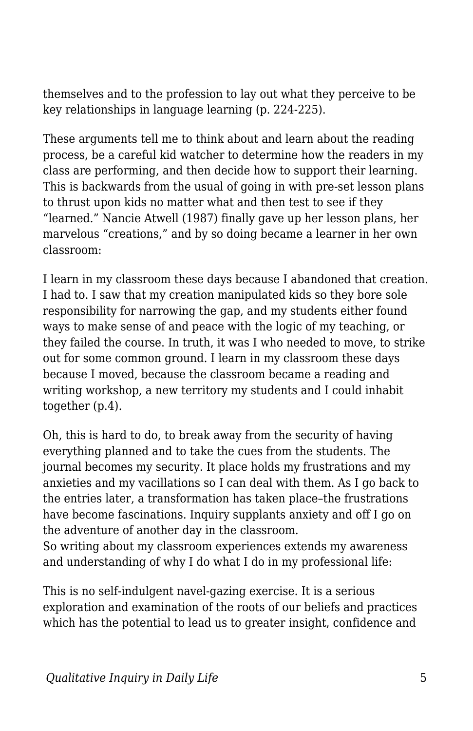themselves and to the profession to lay out what they perceive to be key relationships in language learning (p. 224-225).

These arguments tell me to think about and learn about the reading process, be a careful kid watcher to determine how the readers in my class are performing, and then decide how to support their learning. This is backwards from the usual of going in with pre-set lesson plans to thrust upon kids no matter what and then test to see if they "learned." Nancie Atwell (1987) finally gave up her lesson plans, her marvelous "creations," and by so doing became a learner in her own classroom:

I learn in my classroom these days because I abandoned that creation. I had to. I saw that my creation manipulated kids so they bore sole responsibility for narrowing the gap, and my students either found ways to make sense of and peace with the logic of my teaching, or they failed the course. In truth, it was I who needed to move, to strike out for some common ground. I learn in my classroom these days because I moved, because the classroom became a reading and writing workshop, a new territory my students and I could inhabit together (p.4).

Oh, this is hard to do, to break away from the security of having everything planned and to take the cues from the students. The journal becomes my security. It place holds my frustrations and my anxieties and my vacillations so I can deal with them. As I go back to the entries later, a transformation has taken place–the frustrations have become fascinations. Inquiry supplants anxiety and off I go on the adventure of another day in the classroom.

So writing about my classroom experiences extends my awareness and understanding of why I do what I do in my professional life:

This is no self-indulgent navel-gazing exercise. It is a serious exploration and examination of the roots of our beliefs and practices which has the potential to lead us to greater insight, confidence and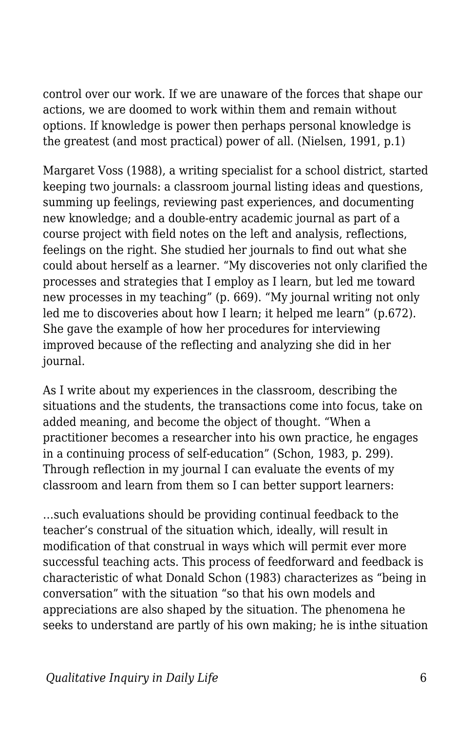control over our work. If we are unaware of the forces that shape our actions, we are doomed to work within them and remain without options. If knowledge is power then perhaps personal knowledge is the greatest (and most practical) power of all. (Nielsen, 1991, p.1)

Margaret Voss (1988), a writing specialist for a school district, started keeping two journals: a classroom journal listing ideas and questions, summing up feelings, reviewing past experiences, and documenting new knowledge; and a double-entry academic journal as part of a course project with field notes on the left and analysis, reflections, feelings on the right. She studied her journals to find out what she could about herself as a learner. "My discoveries not only clarified the processes and strategies that I employ as I learn, but led me toward new processes in my teaching" (p. 669). "My journal writing not only led me to discoveries about how I learn; it helped me learn" (p.672). She gave the example of how her procedures for interviewing improved because of the reflecting and analyzing she did in her journal.

As I write about my experiences in the classroom, describing the situations and the students, the transactions come into focus, take on added meaning, and become the object of thought. "When a practitioner becomes a researcher into his own practice, he engages in a continuing process of self-education" (Schon, 1983, p. 299). Through reflection in my journal I can evaluate the events of my classroom and learn from them so I can better support learners:

…such evaluations should be providing continual feedback to the teacher's construal of the situation which, ideally, will result in modification of that construal in ways which will permit ever more successful teaching acts. This process of feedforward and feedback is characteristic of what Donald Schon (1983) characterizes as "being in conversation" with the situation "so that his own models and appreciations are also shaped by the situation. The phenomena he seeks to understand are partly of his own making; he is inthe situation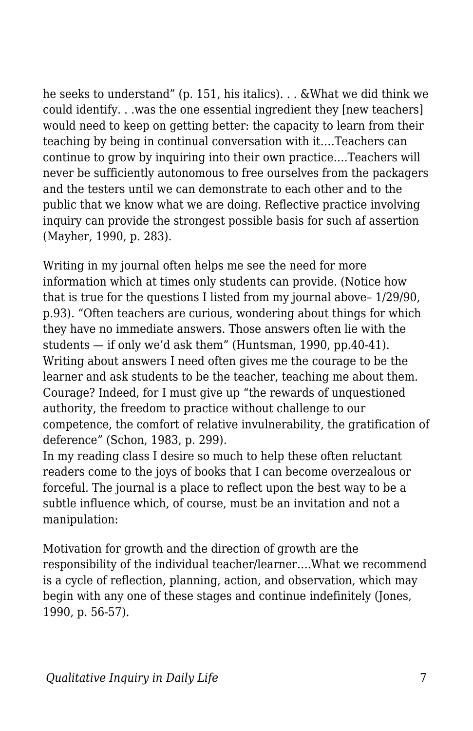he seeks to understand" (p. 151, his italics). . . &What we did think we could identify. . .was the one essential ingredient they [new teachers] would need to keep on getting better: the capacity to learn from their teaching by being in continual conversation with it….Teachers can continue to grow by inquiring into their own practice….Teachers will never be sufficiently autonomous to free ourselves from the packagers and the testers until we can demonstrate to each other and to the public that we know what we are doing. Reflective practice involving inquiry can provide the strongest possible basis for such af assertion (Mayher, 1990, p. 283).

Writing in my journal often helps me see the need for more information which at times only students can provide. (Notice how that is true for the questions I listed from my journal above– 1/29/90, p.93). "Often teachers are curious, wondering about things for which they have no immediate answers. Those answers often lie with the students — if only we'd ask them" (Huntsman, 1990, pp.40-41). Writing about answers I need often gives me the courage to be the learner and ask students to be the teacher, teaching me about them. Courage? Indeed, for I must give up "the rewards of unquestioned authority, the freedom to practice without challenge to our competence, the comfort of relative invulnerability, the gratification of deference" (Schon, 1983, p. 299).

In my reading class I desire so much to help these often reluctant readers come to the joys of books that I can become overzealous or forceful. The journal is a place to reflect upon the best way to be a subtle influence which, of course, must be an invitation and not a manipulation:

Motivation for growth and the direction of growth are the responsibility of the individual teacher/learner….What we recommend is a cycle of reflection, planning, action, and observation, which may begin with any one of these stages and continue indefinitely (Jones, 1990, p. 56-57).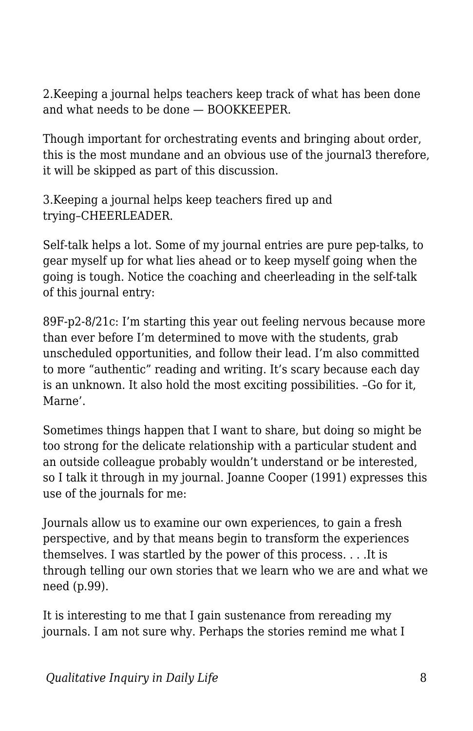2.Keeping a journal helps teachers keep track of what has been done and what needs to be done — BOOKKEEPER.

Though important for orchestrating events and bringing about order, this is the most mundane and an obvious use of the journal3 therefore, it will be skipped as part of this discussion.

3.Keeping a journal helps keep teachers fired up and trying–CHEERLEADER.

Self-talk helps a lot. Some of my journal entries are pure pep-talks, to gear myself up for what lies ahead or to keep myself going when the going is tough. Notice the coaching and cheerleading in the self-talk of this journal entry:

89F-p2-8/21c: I'm starting this year out feeling nervous because more than ever before I'm determined to move with the students, grab unscheduled opportunities, and follow their lead. I'm also committed to more "authentic" reading and writing. It's scary because each day is an unknown. It also hold the most exciting possibilities. –Go for it, Marne'.

Sometimes things happen that I want to share, but doing so might be too strong for the delicate relationship with a particular student and an outside colleague probably wouldn't understand or be interested, so I talk it through in my journal. Joanne Cooper (1991) expresses this use of the journals for me:

Journals allow us to examine our own experiences, to gain a fresh perspective, and by that means begin to transform the experiences themselves. I was startled by the power of this process. . . .It is through telling our own stories that we learn who we are and what we need (p.99).

It is interesting to me that I gain sustenance from rereading my journals. I am not sure why. Perhaps the stories remind me what I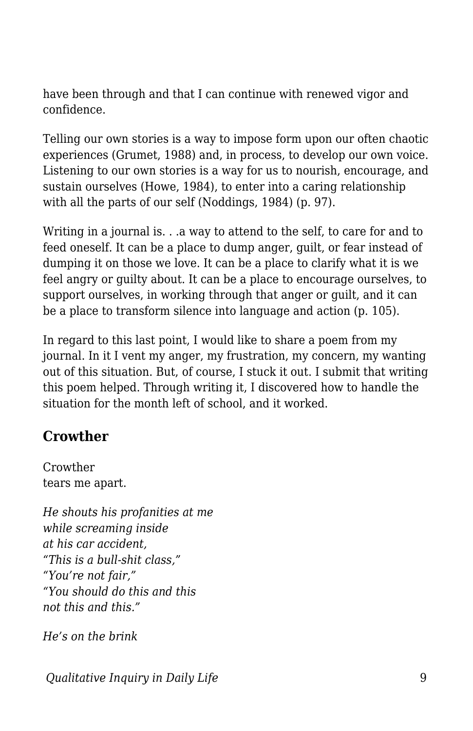have been through and that I can continue with renewed vigor and confidence.

Telling our own stories is a way to impose form upon our often chaotic experiences (Grumet, 1988) and, in process, to develop our own voice. Listening to our own stories is a way for us to nourish, encourage, and sustain ourselves (Howe, 1984), to enter into a caring relationship with all the parts of our self (Noddings, 1984) (p. 97).

Writing in a journal is. . .a way to attend to the self, to care for and to feed oneself. It can be a place to dump anger, guilt, or fear instead of dumping it on those we love. It can be a place to clarify what it is we feel angry or guilty about. It can be a place to encourage ourselves, to support ourselves, in working through that anger or guilt, and it can be a place to transform silence into language and action (p. 105).

In regard to this last point, I would like to share a poem from my journal. In it I vent my anger, my frustration, my concern, my wanting out of this situation. But, of course, I stuck it out. I submit that writing this poem helped. Through writing it, I discovered how to handle the situation for the month left of school, and it worked.

## **Crowther**

Crowther tears me apart.

*He shouts his profanities at me while screaming inside at his car accident, "This is a bull-shit class," "You're not fair," "You should do this and this not this and this."*

*He's on the brink*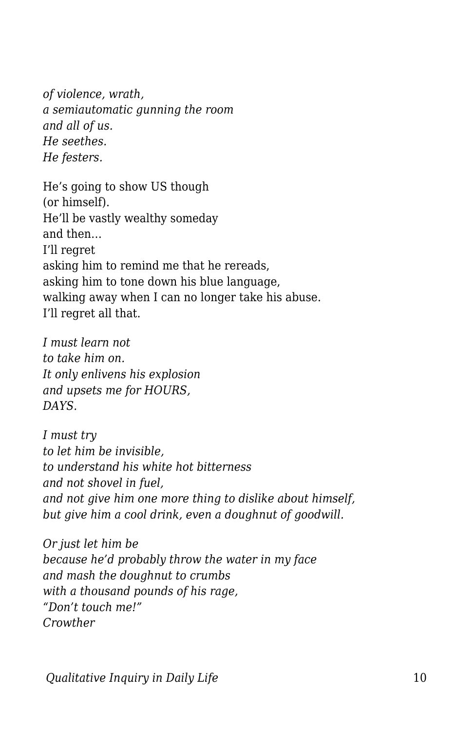*of violence, wrath, a semiautomatic gunning the room and all of us. He seethes. He festers.*

He's going to show US though (or himself). He'll be vastly wealthy someday and then… I'll regret asking him to remind me that he rereads, asking him to tone down his blue language, walking away when I can no longer take his abuse. I'll regret all that.

*I must learn not to take him on. It only enlivens his explosion and upsets me for HOURS, DAYS.*

*I must try to let him be invisible, to understand his white hot bitterness and not shovel in fuel, and not give him one more thing to dislike about himself, but give him a cool drink, even a doughnut of goodwill.*

*Or just let him be because he'd probably throw the water in my face and mash the doughnut to crumbs with a thousand pounds of his rage, "Don't touch me!" Crowther*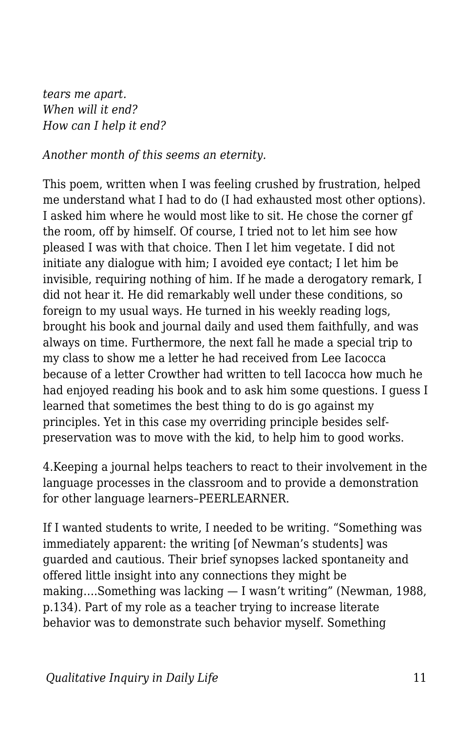*tears me apart. When will it end? How can I help it end?*

*Another month of this seems an eternity.*

This poem, written when I was feeling crushed by frustration, helped me understand what I had to do (I had exhausted most other options). I asked him where he would most like to sit. He chose the corner gf the room, off by himself. Of course, I tried not to let him see how pleased I was with that choice. Then I let him vegetate. I did not initiate any dialogue with him; I avoided eye contact; I let him be invisible, requiring nothing of him. If he made a derogatory remark, I did not hear it. He did remarkably well under these conditions, so foreign to my usual ways. He turned in his weekly reading logs, brought his book and journal daily and used them faithfully, and was always on time. Furthermore, the next fall he made a special trip to my class to show me a letter he had received from Lee Iacocca because of a letter Crowther had written to tell Iacocca how much he had enjoyed reading his book and to ask him some questions. I guess I learned that sometimes the best thing to do is go against my principles. Yet in this case my overriding principle besides selfpreservation was to move with the kid, to help him to good works.

4.Keeping a journal helps teachers to react to their involvement in the language processes in the classroom and to provide a demonstration for other language learners–PEERLEARNER.

If I wanted students to write, I needed to be writing. "Something was immediately apparent: the writing [of Newman's students] was guarded and cautious. Their brief synopses lacked spontaneity and offered little insight into any connections they might be making….Something was lacking — I wasn't writing" (Newman, 1988, p.134). Part of my role as a teacher trying to increase literate behavior was to demonstrate such behavior myself. Something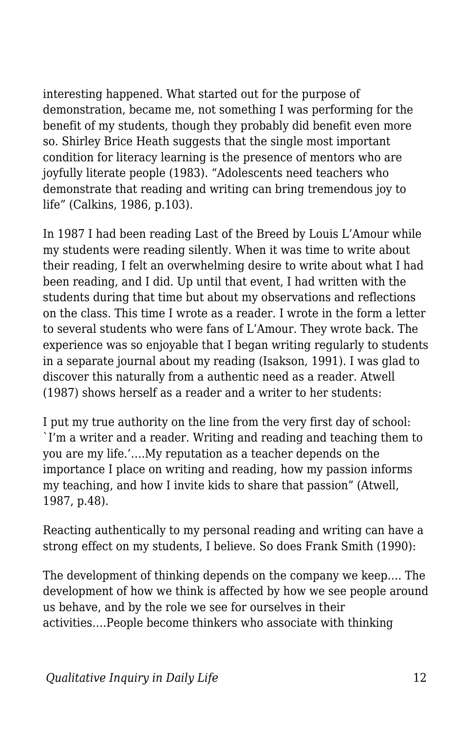interesting happened. What started out for the purpose of demonstration, became me, not something I was performing for the benefit of my students, though they probably did benefit even more so. Shirley Brice Heath suggests that the single most important condition for literacy learning is the presence of mentors who are joyfully literate people (1983). "Adolescents need teachers who demonstrate that reading and writing can bring tremendous joy to life" (Calkins, 1986, p.103).

In 1987 I had been reading Last of the Breed by Louis L'Amour while my students were reading silently. When it was time to write about their reading, I felt an overwhelming desire to write about what I had been reading, and I did. Up until that event, I had written with the students during that time but about my observations and reflections on the class. This time I wrote as a reader. I wrote in the form a letter to several students who were fans of L'Amour. They wrote back. The experience was so enjoyable that I began writing regularly to students in a separate journal about my reading (Isakson, 1991). I was glad to discover this naturally from a authentic need as a reader. Atwell (1987) shows herself as a reader and a writer to her students:

I put my true authority on the line from the very first day of school: `I'm a writer and a reader. Writing and reading and teaching them to you are my life.'….My reputation as a teacher depends on the importance I place on writing and reading, how my passion informs my teaching, and how I invite kids to share that passion" (Atwell, 1987, p.48).

Reacting authentically to my personal reading and writing can have a strong effect on my students, I believe. So does Frank Smith (1990):

The development of thinking depends on the company we keep…. The development of how we think is affected by how we see people around us behave, and by the role we see for ourselves in their activities….People become thinkers who associate with thinking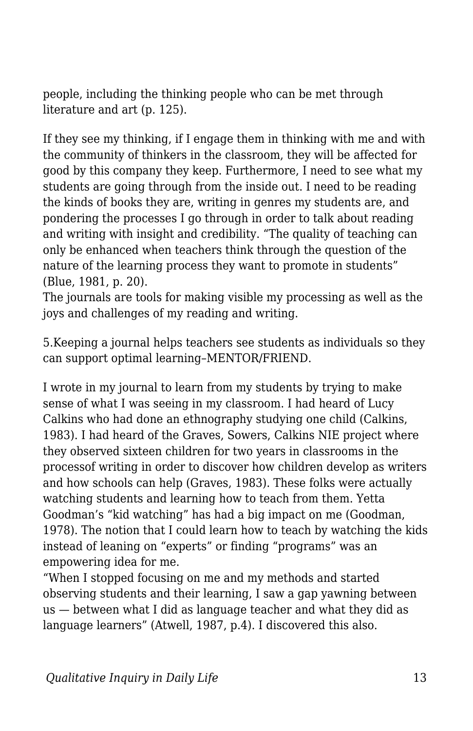people, including the thinking people who can be met through literature and art (p. 125).

If they see my thinking, if I engage them in thinking with me and with the community of thinkers in the classroom, they will be affected for good by this company they keep. Furthermore, I need to see what my students are going through from the inside out. I need to be reading the kinds of books they are, writing in genres my students are, and pondering the processes I go through in order to talk about reading and writing with insight and credibility. "The quality of teaching can only be enhanced when teachers think through the question of the nature of the learning process they want to promote in students" (Blue, 1981, p. 20).

The journals are tools for making visible my processing as well as the joys and challenges of my reading and writing.

5.Keeping a journal helps teachers see students as individuals so they can support optimal learning–MENTOR/FRIEND.

I wrote in my journal to learn from my students by trying to make sense of what I was seeing in my classroom. I had heard of Lucy Calkins who had done an ethnography studying one child (Calkins, 1983). I had heard of the Graves, Sowers, Calkins NIE project where they observed sixteen children for two years in classrooms in the processof writing in order to discover how children develop as writers and how schools can help (Graves, 1983). These folks were actually watching students and learning how to teach from them. Yetta Goodman's "kid watching" has had a big impact on me (Goodman, 1978). The notion that I could learn how to teach by watching the kids instead of leaning on "experts" or finding "programs" was an empowering idea for me.

"When I stopped focusing on me and my methods and started observing students and their learning, I saw a gap yawning between us — between what I did as language teacher and what they did as language learners" (Atwell, 1987, p.4). I discovered this also.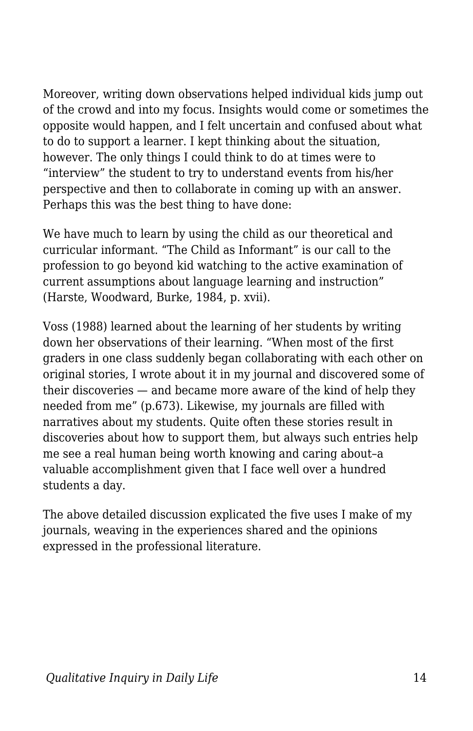Moreover, writing down observations helped individual kids jump out of the crowd and into my focus. Insights would come or sometimes the opposite would happen, and I felt uncertain and confused about what to do to support a learner. I kept thinking about the situation, however. The only things I could think to do at times were to "interview" the student to try to understand events from his/her perspective and then to collaborate in coming up with an answer. Perhaps this was the best thing to have done:

We have much to learn by using the child as our theoretical and curricular informant. "The Child as Informant" is our call to the profession to go beyond kid watching to the active examination of current assumptions about language learning and instruction" (Harste, Woodward, Burke, 1984, p. xvii).

Voss (1988) learned about the learning of her students by writing down her observations of their learning. "When most of the first graders in one class suddenly began collaborating with each other on original stories, I wrote about it in my journal and discovered some of their discoveries — and became more aware of the kind of help they needed from me" (p.673). Likewise, my journals are filled with narratives about my students. Quite often these stories result in discoveries about how to support them, but always such entries help me see a real human being worth knowing and caring about–a valuable accomplishment given that I face well over a hundred students a day.

The above detailed discussion explicated the five uses I make of my journals, weaving in the experiences shared and the opinions expressed in the professional literature.